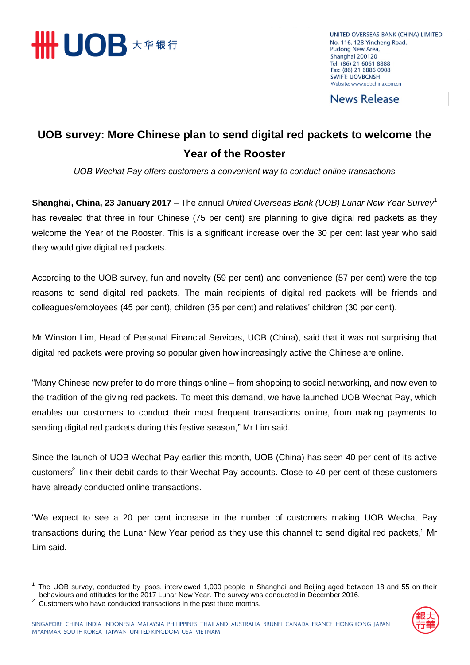

UNITED OVERSEAS BANK (CHINA) LIMITED No. 116, 128 Yincheng Road, Pudong New Area, Shanghai 200120 Tel: (86) 21 6061 8888 Fax: (86) 21 6886 0908 **SWIFT: UOVBCNSH** Website: www.uobchina.com.cn

**News Release** 

## **UOB survey: More Chinese plan to send digital red packets to welcome the Year of the Rooster**

*UOB Wechat Pay offers customers a convenient way to conduct online transactions*

**Shanghai, China, 23 January 2017** – The annual *United Overseas Bank (UOB) Lunar New Year Survey*<sup>1</sup> has revealed that three in four Chinese (75 per cent) are planning to give digital red packets as they welcome the Year of the Rooster. This is a significant increase over the 30 per cent last year who said they would give digital red packets.

According to the UOB survey, fun and novelty (59 per cent) and convenience (57 per cent) were the top reasons to send digital red packets. The main recipients of digital red packets will be friends and colleagues/employees (45 per cent), children (35 per cent) and relatives' children (30 per cent).

Mr Winston Lim, Head of Personal Financial Services, UOB (China), said that it was not surprising that digital red packets were proving so popular given how increasingly active the Chinese are online.

"Many Chinese now prefer to do more things online – from shopping to social networking, and now even to the tradition of the giving red packets. To meet this demand, we have launched UOB Wechat Pay, which enables our customers to conduct their most frequent transactions online, from making payments to sending digital red packets during this festive season," Mr Lim said.

Since the launch of UOB Wechat Pay earlier this month, UOB (China) has seen 40 per cent of its active customers<sup>2</sup> link their debit cards to their Wechat Pay accounts. Close to 40 per cent of these customers have already conducted online transactions.

"We expect to see a 20 per cent increase in the number of customers making UOB Wechat Pay transactions during the Lunar New Year period as they use this channel to send digital red packets," Mr Lim said.

 $\overline{a}$ 



 $1$  The UOB survey, conducted by Ipsos, interviewed 1,000 people in Shanghai and Beijing aged between 18 and 55 on their behaviours and attitudes for the 2017 Lunar New Year. The survey was conducted in December 2016.

 $2^{2}$  Customers who have conducted transactions in the past three months.